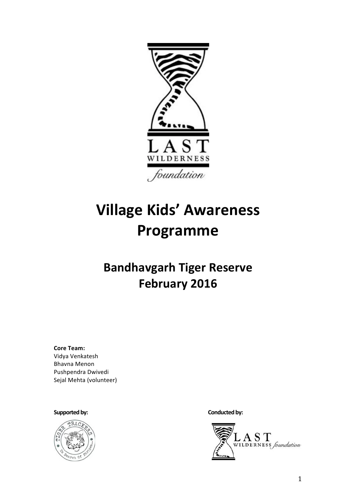

# **Village Kids' Awareness** Programme

## **Bandhavgarh Tiger Reserve February 2016**

**Core Team:** Vidya Venkatesh **Bhavna Menon** Pushpendra Dwivedi Sejal Mehta (volunteer)

#### Supported by:



Conducted by:

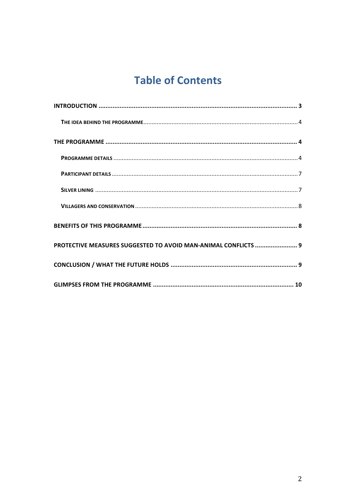## **Table of Contents**

| PROTECTIVE MEASURES SUGGESTED TO AVOID MAN-ANIMAL CONFLICTS  9 |
|----------------------------------------------------------------|
|                                                                |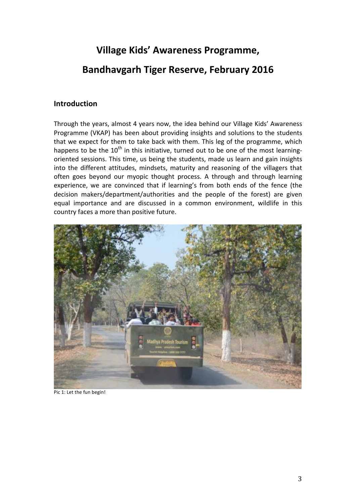## Village Kids' Awareness Programme,

### **Bandhavgarh Tiger Reserve, February 2016**

#### **Introduction**

Through the years, almost 4 years now, the idea behind our Village Kids' Awareness Programme (VKAP) has been about providing insights and solutions to the students that we expect for them to take back with them. This leg of the programme, which happens to be the 10<sup>th</sup> in this initiative, turned out to be one of the most learningoriented sessions. This time, us being the students, made us learn and gain insights into the different attitudes, mindsets, maturity and reasoning of the villagers that often goes beyond our myopic thought process. A through and through learning experience, we are convinced that if learning's from both ends of the fence (the decision makers/department/authorities and the people of the forest) are given equal importance and are discussed in a common environment, wildlife in this country faces a more than positive future.



Pic 1: Let the fun begin!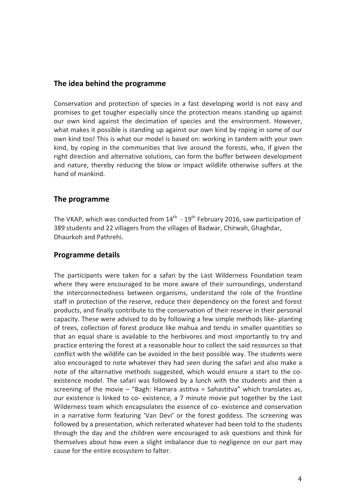#### The idea behind the programme

Conservation and protection of species in a fast developing world is not easy and promises to get tougher especially since the protection means standing up against our own kind against the decimation of species and the environment. However, what makes it possible is standing up against our own kind by roping in some of our own kind too! This is what our model is based on: working in tandem with your own kind, by roping in the communities that live around the forests, who, if given the right direction and alternative solutions, can form the buffer between development and nature, thereby reducing the blow or impact wildlife otherwise suffers at the hand of mankind.

#### The programme

The VKAP, which was conducted from  $14^{\text{th}}$  -  $19^{\text{th}}$  February 2016, saw participation of 389 students and 22 villagers from the villages of Badwar, Chirwah, Ghaghdar, Dhaurkoh and Pathrehi.

#### **Programme details**

The participants were taken for a safari by the Last Wilderness Foundation team where they were encouraged to be more aware of their surroundings, understand the interconnectedness between organisms, understand the role of the frontline staff in protection of the reserve, reduce their dependency on the forest and forest products, and finally contribute to the conservation of their reserve in their personal capacity. These were advised to do by following a few simple methods like- planting of trees, collection of forest produce like mahua and tendu in smaller quantities so that an equal share is available to the herbivores and most importantly to try and practice entering the forest at a reasonable hour to collect the said resources so that conflict with the wildlife can be avoided in the best possible way. The students were also encouraged to note whatever they had seen during the safari and also make a note of the alternative methods suggested, which would ensure a start to the coexistence model. The safari was followed by a lunch with the students and then a screening of the movie  $-$  "Bagh: Hamara astitva = Sahastitva" which translates as, our existence is linked to co- existence, a 7 minute movie put together by the Last Wilderness team which encapsulates the essence of co-existence and conservation in a narrative form featuring 'Van Devi' or the forest goddess. The screening was followed by a presentation, which reiterated whatever had been told to the students through the day and the children were encouraged to ask questions and think for themselves about how even a slight imbalance due to negligence on our part may cause for the entire ecosystem to falter.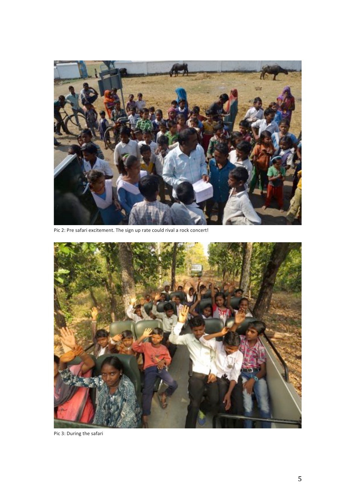

Pic 2: Pre safari excitement. The sign up rate could rival a rock concert!



Pic 3: During the safari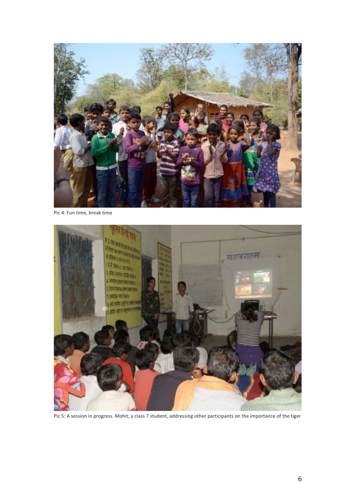

Pic 4: Fun time, break time



Pic 5: A session in progress. Mohit, a class 7 student, addressing other participants on the importance of the tiger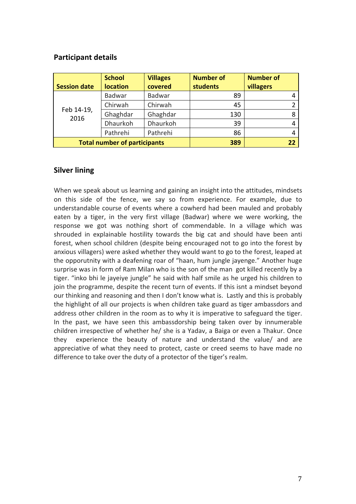#### **Participant details**

| <b>Session date</b>                 | <b>School</b><br><b>location</b> | <b>Villages</b><br>covered | <b>Number of</b><br><b>students</b> | <b>Number of</b><br>villagers |
|-------------------------------------|----------------------------------|----------------------------|-------------------------------------|-------------------------------|
| Feb 14-19,<br>2016                  | Badwar                           | Badwar                     | 89                                  |                               |
|                                     | Chirwah                          | Chirwah                    | 45                                  |                               |
|                                     | Ghaghdar                         | Ghaghdar                   | 130                                 |                               |
|                                     | Dhaurkoh                         | Dhaurkoh                   | 39                                  |                               |
|                                     | Pathrehi                         | Pathrehi                   | 86                                  |                               |
| <b>Total number of participants</b> |                                  |                            | 389                                 | 22                            |

#### **Silver lining**

When we speak about us learning and gaining an insight into the attitudes, mindsets on this side of the fence, we say so from experience. For example, due to understandable course of events where a cowherd had been mauled and probably eaten by a tiger, in the very first village (Badwar) where we were working, the response we got was nothing short of commendable. In a village which was shrouded in explainable hostility towards the big cat and should have been anti forest, when school children (despite being encouraged not to go into the forest by anxious villagers) were asked whether they would want to go to the forest, leaped at the opporutnity with a deafening roar of "haan, hum jungle jayenge." Another huge surprise was in form of Ram Milan who is the son of the man got killed recently by a tiger. "inko bhi le jayeiye jungle" he said with half smile as he urged his children to join the programme, despite the recent turn of events. If this isnt a mindset beyond our thinking and reasoning and then I don't know what is. Lastly and this is probably the highlight of all our projects is when children take guard as tiger ambassdors and address other children in the room as to why it is imperative to safeguard the tiger. In the past, we have seen this ambassdorship being taken over by innumerable children irrespective of whether he/ she is a Yaday, a Baiga or even a Thakur. Once experience the beauty of nature and understand the value/ and are they appreciative of what they need to protect, caste or creed seems to have made no difference to take over the duty of a protector of the tiger's realm.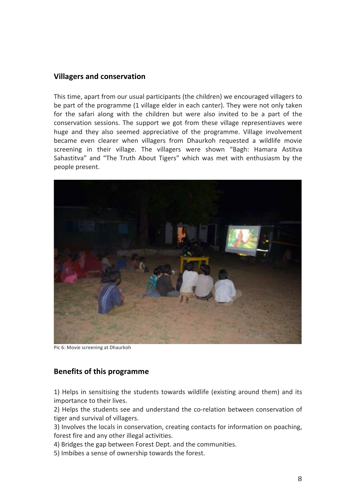#### **Villagers and conservation**

This time, apart from our usual participants (the children) we encouraged villagers to be part of the programme (1 village elder in each canter). They were not only taken for the safari along with the children but were also invited to be a part of the conservation sessions. The support we got from these village representiaves were huge and they also seemed appreciative of the programme. Village involvement became even clearer when villagers from Dhaurkoh requested a wildlife movie screening in their village. The villagers were shown "Bagh: Hamara Astitva Sahastitva" and "The Truth About Tigers" which was met with enthusiasm by the people present.



Pic 6: Movie screening at Dhaurkoh

#### **Benefits of this programme**

1) Helps in sensitising the students towards wildlife (existing around them) and its importance to their lives.

2) Helps the students see and understand the co-relation between conservation of tiger and survival of villagers.

3) Involves the locals in conservation, creating contacts for information on poaching, forest fire and any other illegal activities.

4) Bridges the gap between Forest Dept. and the communities.

5) Imbibes a sense of ownership towards the forest.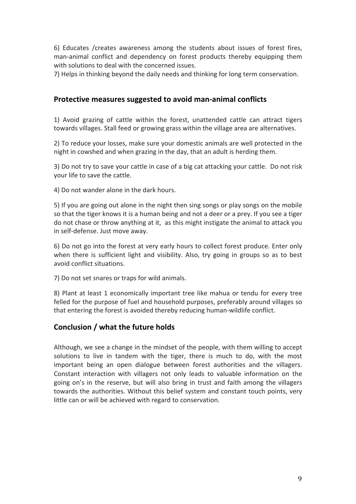6) Educates /creates awareness among the students about issues of forest fires, man-animal conflict and dependency on forest products thereby equipping them with solutions to deal with the concerned issues.

7) Helps in thinking beyond the daily needs and thinking for long term conservation.

#### Protective measures suggested to avoid man-animal conflicts

1) Avoid grazing of cattle within the forest, unattended cattle can attract tigers towards villages. Stall feed or growing grass within the village area are alternatives.

2) To reduce your losses, make sure your domestic animals are well protected in the night in cowshed and when grazing in the day, that an adult is herding them.

3) Do not try to save your cattle in case of a big cat attacking your cattle. Do not risk your life to save the cattle.

4) Do not wander alone in the dark hours.

5) If you are going out alone in the night then sing songs or play songs on the mobile so that the tiger knows it is a human being and not a deer or a prey. If you see a tiger do not chase or throw anything at it, as this might instigate the animal to attack you in self-defense. Just move away.

6) Do not go into the forest at very early hours to collect forest produce. Enter only when there is sufficient light and visibility. Also, try going in groups so as to best avoid conflict situations.

7) Do not set snares or traps for wild animals.

8) Plant at least 1 economically important tree like mahua or tendu for every tree felled for the purpose of fuel and household purposes, preferably around villages so that entering the forest is avoided thereby reducing human-wildlife conflict.

#### Conclusion / what the future holds

Although, we see a change in the mindset of the people, with them willing to accept solutions to live in tandem with the tiger, there is much to do, with the most important being an open dialogue between forest authorities and the villagers. Constant interaction with villagers not only leads to valuable information on the going on's in the reserve, but will also bring in trust and faith among the villagers towards the authorities. Without this belief system and constant touch points, very little can or will be achieved with regard to conservation.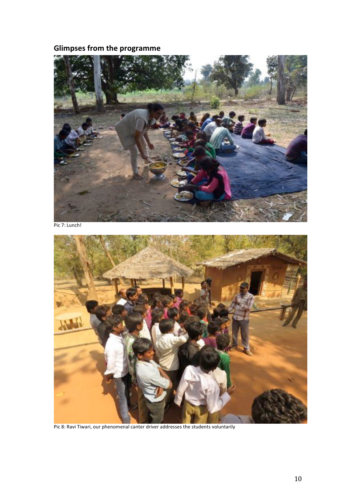### **Glimpses from the programme**



Pic 7: Lunch!



Pic 8: Ravi Tiwari, our phenomenal canter driver addresses the students voluntarily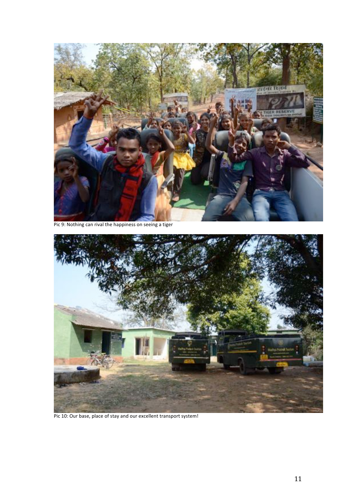

Pic 9: Nothing can rival the happiness on seeing a tiger



Pic 10: Our base, place of stay and our excellent transport system!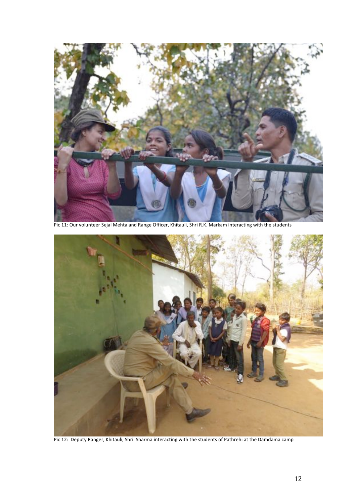

Pic 11: Our volunteer Sejal Mehta and Range Officer, Khitauli, Shri R.K. Markam interacting with the students



Pic 12: Deputy Ranger, Khitauli, Shri. Sharma interacting with the students of Pathrehi at the Damdama camp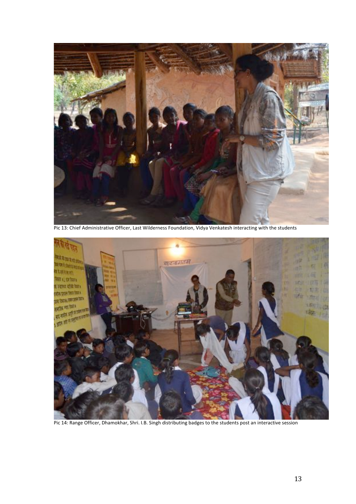

Pic 13: Chief Administrative Officer, Last Wilderness Foundation, Vidya Venkatesh interacting with the students



Pic 14: Range Officer, Dhamokhar, Shri. I.B. Singh distributing badges to the students post an interactive session